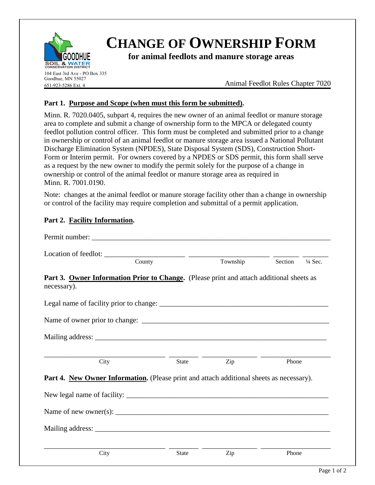

# **CHANGE OF OWNERSHIP FORM**

**for animal feedlots and manure storage areas**

104 East 3rd Ave - PO Box 335 Goodhue, MN 55027 651-923-5286 Ext. 4

Animal Feedlot Rules Chapter 7020

## **Part 1. Purpose and Scope (when must this form be submitted).**

Minn. R. 7020.0405, subpart 4, requires the new owner of an animal feedlot or manure storage area to complete and submit a change of ownership form to the MPCA or delegated county feedlot pollution control officer. This form must be completed and submitted prior to a change in ownership or control of an animal feedlot or manure storage area issued a National Pollutant Discharge Elimination System (NPDES), State Disposal System (SDS), Construction Short-Form or Interim permit. For owners covered by a NPDES or SDS permit, this form shall serve as a request by the new owner to modify the permit solely for the purpose of a change in ownership or control of the animal feedlot or manure storage area as required in Minn. R. 7001.0190.

Note: changes at the animal feedlot or manure storage facility other than a change in ownership or control of the facility may require completion and submittal of a permit application.

### **Part 2. Facility Information.**

| Permit number:                                                                                          |        |              |          |         |                    |
|---------------------------------------------------------------------------------------------------------|--------|--------------|----------|---------|--------------------|
|                                                                                                         | County |              | Township | Section | $\frac{1}{4}$ Sec. |
| Part 3. Owner Information Prior to Change. (Please print and attach additional sheets as<br>necessary). |        |              |          |         |                    |
|                                                                                                         |        |              |          |         |                    |
|                                                                                                         |        |              |          |         |                    |
|                                                                                                         |        |              |          |         |                    |
| City                                                                                                    |        | <b>State</b> | Zip      | Phone   |                    |
| Part 4. New Owner Information. (Please print and attach additional sheets as necessary).                |        |              |          |         |                    |
|                                                                                                         |        |              |          |         |                    |
| Name of new owner(s): $\sqrt{\frac{m}{n}}$                                                              |        |              |          |         |                    |
|                                                                                                         |        |              |          |         |                    |
|                                                                                                         |        |              |          |         |                    |
| City                                                                                                    |        | <b>State</b> | Zip      | Phone   |                    |